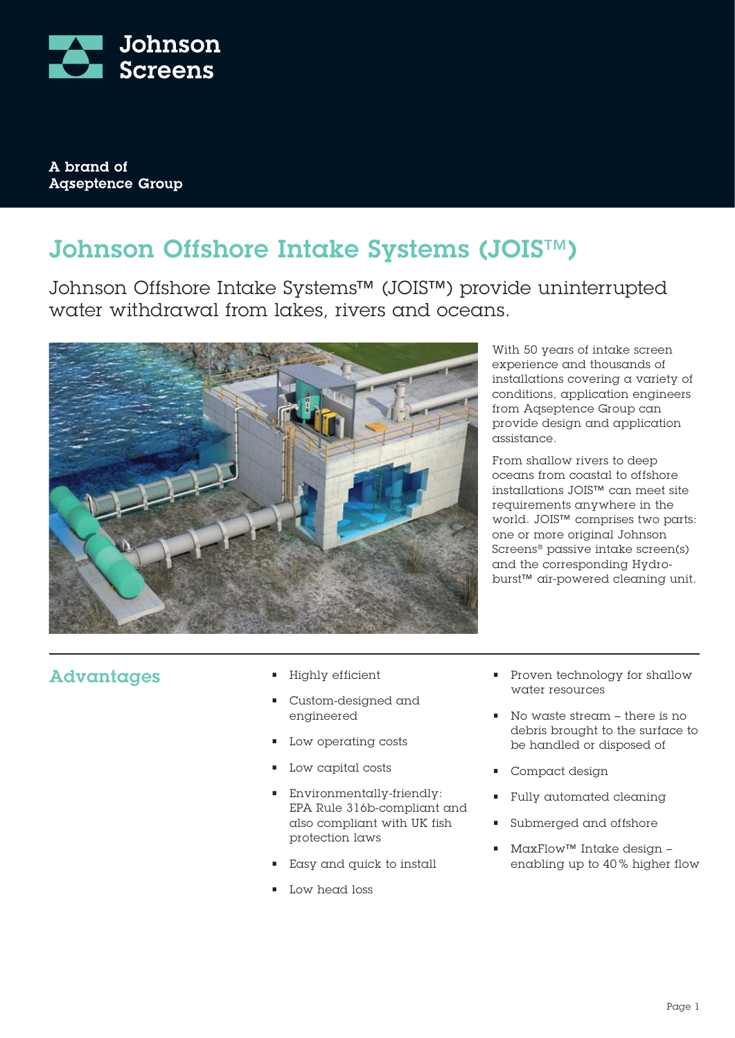

A brand of **Agseptence Group** 

## Johnson Offshore Intake Systems (JOIS™)

Johnson Offshore Intake Systems™ (JOIS™) provide uninterrupted water withdrawal from lakes, rivers and oceans.



With 50 years of intake screen experience and thousands of installations covering a variety of conditions, application engineers from Aqseptence Group can provide design and application assistance.

From shallow rivers to deep oceans from coastal to offshore installations JOIS™ can meet site requirements anywhere in the world. JOIS™ comprises two parts: one or more original Johnson Screens® passive intake screen(s) and the corresponding Hydroburst™ air-powered cleaning unit.

#### Advantages

- Highly efficient
- Custom-designed and engineered
- Low operating costs
- Low capital costs
- Environmentally-friendly: EPA Rule 316b-compliant and also compliant with UK fish protection laws
- Easy and quick to install
- Low head loss
- Proven technology for shallow water resources
- No waste stream there is no debris brought to the surface to be handled or disposed of
- Compact design
- Fully automated cleaning
- Submerged and offshore
- MaxFlow™ Intake design enabling up to 40 % higher flow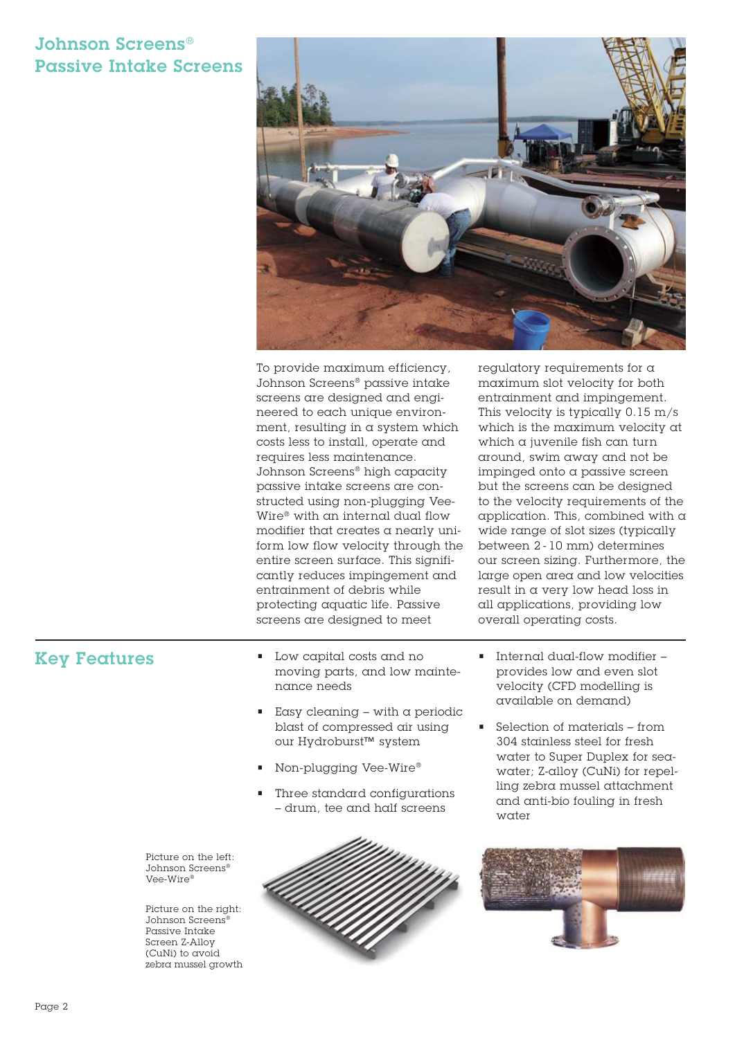### Johnson Screens® Passive Intake Screens



To provide maximum efficiency, Johnson Screens® passive intake screens are designed and engineered to each unique environment, resulting in a system which costs less to install, operate and requires less maintenance. Johnson Screens® high capacity passive intake screens are constructed using non-plugging Vee-Wire® with an internal dual flow modifier that creates a nearly uniform low flow velocity through the entire screen surface. This significantly reduces impingement and entrainment of debris while protecting aquatic life. Passive screens are designed to meet

regulatory requirements for a maximum slot velocity for both entrainment and impingement. This velocity is typically 0.15 m/s which is the maximum velocity at which  $\alpha$  juvenile fish can turn around, swim away and not be impinged onto a passive screen but the screens can be designed to the velocity requirements of the application. This, combined with a wide range of slot sizes (typically between 2 - 10 mm) determines our screen sizing. Furthermore, the large open area and low velocities result in a very low head loss in all applications, providing low overall operating costs.

#### Key Features

- Low capital costs and no moving parts, and low maintenance needs
- $\blacksquare$  Easy cleaning with a periodic blast of compressed air using our Hydroburst™ system
- Non-plugging Vee-Wire®
- Three standard configurations – drum, tee and half screens

Picture on the left: Johnson Screens® Vee-Wire®

Picture on the right: Johnson Screens® Passive Intake Screen Z-Alloy (CuNi) to avoid zebra mussel growth



- Internal dual-flow modifier provides low and even slot velocity (CFD modelling is available on demand)
- Selection of materials from 304 stainless steel for fresh water to Super Duplex for seawater; Z-alloy (CuNi) for repelling zebra mussel attachment and anti-bio fouling in fresh water

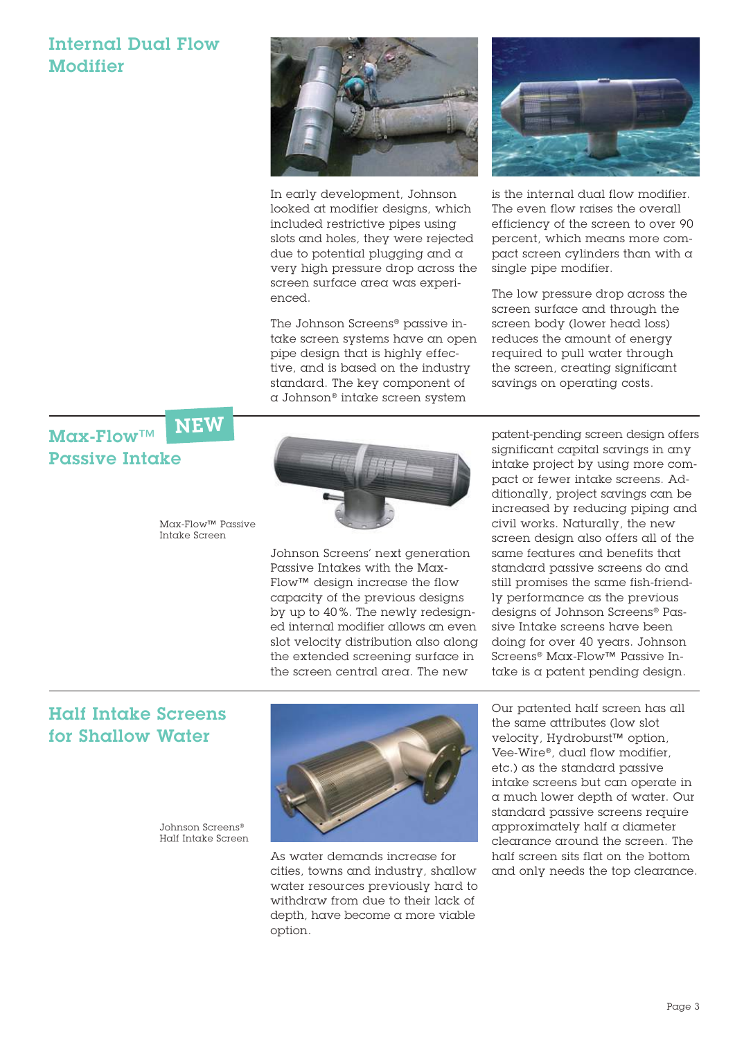### Internal Dual Flow **Modifier**



In early development, Johnson looked at modifier designs, which included restrictive pipes using slots and holes, they were rejected due to potential plugging and a very high pressure drop across the screen surface area was experienced.

The Johnson Screens® passive intake screen systems have an open pipe design that is highly effective, and is based on the industry standard. The key component of a Johnson® intake screen system



is the internal dual flow modifier. The even flow raises the overall efficiency of the screen to over 90 percent, which means more compact screen cylinders than with a single pipe modifier.

The low pressure drop across the screen surface and through the screen body (lower head loss) reduces the amount of energy required to pull water through the screen, creating significant savings on operating costs.

Max-Flow™ Passive Intake **NEW** 

> Max-Flow™ Passive Intake Screen



Johnson Screens' next generation Passive Intakes with the Max-Flow™ design increase the flow capacity of the previous designs by up to 40 %. The newly redesigned internal modifier allows an even slot velocity distribution also along the extended screening surface in the screen central area. The new

patent-pending screen design offers significant capital savings in any intake project by using more compact or fewer intake screens. Additionally, project savings can be increased by reducing piping and civil works. Naturally, the new screen design also offers all of the same features and benefits that standard passive screens do and still promises the same fish-friendly performance as the previous designs of Johnson Screens® Passive Intake screens have been doing for over 40 years. Johnson Screens® Max-Flow™ Passive Intake is a patent pending design.

#### Half Intake Screens for Shallow Water

Johnson Screens® Half Intake Screen



As water demands increase for cities, towns and industry, shallow water resources previously hard to withdraw from due to their lack of depth, have become a more viable option.

Our patented half screen has all the same attributes (low slot velocity, Hydroburst™ option, Vee-Wire®, dual flow modifier, etc.) as the standard passive intake screens but can operate in a much lower depth of water. Our standard passive screens require approximately half a diameter clearance around the screen. The half screen sits flat on the bottom and only needs the top clearance.